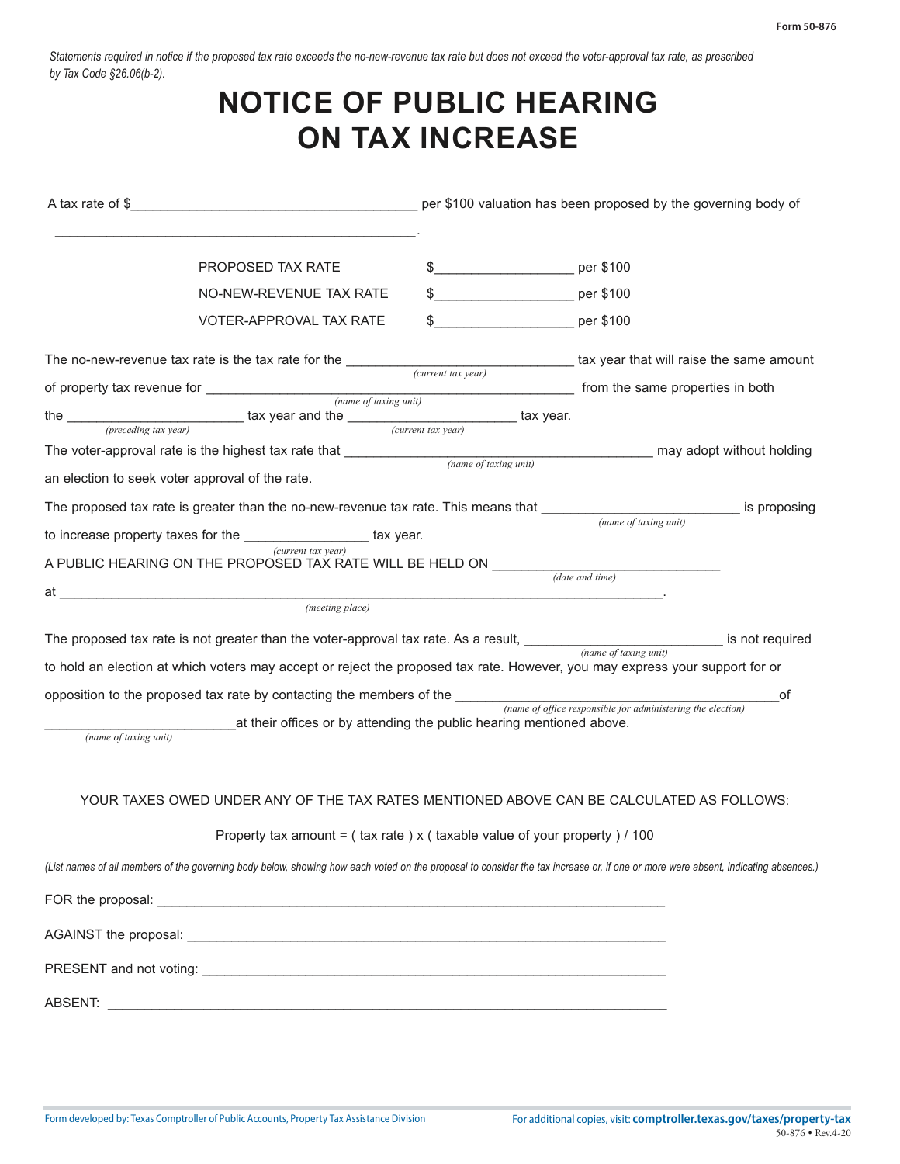*Statements required in notice if the proposed tax rate exceeds the no-new-revenue tax rate but does not exceed the voter-approval tax rate, as prescribed by Tax Code §26.06(b-2).* 

## **NOTICE OF PUBLIC HEARING ON TAX INCREASE**

| A tax rate of \$                                | .7198                                                                                                                                                                                                                                                                                                                                                      |                       | per \$100 valuation has been proposed by the governing body |                                                        |                           |
|-------------------------------------------------|------------------------------------------------------------------------------------------------------------------------------------------------------------------------------------------------------------------------------------------------------------------------------------------------------------------------------------------------------------|-----------------------|-------------------------------------------------------------|--------------------------------------------------------|---------------------------|
| of $\overline{\qquad \qquad }$                  | Lee County                                                                                                                                                                                                                                                                                                                                                 |                       |                                                             |                                                        |                           |
|                                                 | PROPOSED TAX RATE<br>NO-NEW-REVENUE TAX RATE<br>VOTER-APPROVAL TAX RATE                                                                                                                                                                                                                                                                                    |                       | .7198<br>.5713<br>.7198                                     | per \$100<br>per \$100<br>per \$100                    |                           |
|                                                 | The no-new-revenue tax rate is the tax rate for the                                                                                                                                                                                                                                                                                                        | 2021                  |                                                             | tax year that will raise the same amount               |                           |
| of property tax revenue for __________          | Lee County<br>the $\frac{2020}{(preceding tax year)}$ tax year and the $\frac{1}{(current tax year)}$<br>The voter-approval rate is the highest tax rate that ______________                                                                                                                                                                               | (current tax year)    | __ tax year.<br>Lee County                                  | from the same properties in both                       | may adopt without holding |
| an election to seek voter approval of the rate. |                                                                                                                                                                                                                                                                                                                                                            | (name of taxing unit) |                                                             |                                                        |                           |
|                                                 | The proposed tax rate is greater than the no-new-revenue tax rate. This means that ____<br>to increase property taxes for the $\frac{2021}{(current tax year)}$ tax year.<br>A PUBLIC HEARING ON THE PROPOSED TAX RATE WILL BE HELD ON $\frac{$ August 23, 2021 at 9:30 am<br>at ________________________Giddings City Council Chambers<br>(meeting place) |                       |                                                             | Lee County<br>(name of taxing unit)<br>(date and time) | is proposing              |
|                                                 | The proposed tax rate is not greater than the voter-approval tax rate. As a result, Lee County<br>to hold an election at which voters may accept or reject the proposed tax rate. However, you may express your support for or                                                                                                                             |                       |                                                             | (name of taxing unit)                                  | is not required           |
| Lee County<br>(name of taxing unit)             | opposition to the proposed tax rate by contacting the members of the $\frac{\text{Commissioners' Court}}{\text{(name of of free responsible for administrative the election)}}$<br>at their offices or by attending the public hearing mentioned above.                                                                                                    |                       |                                                             |                                                        | of                        |
|                                                 | YOUR TAXES OWED UNDER ANY OF THE TAX RATES MENTIONED ABOVE CAN BE CALCULATED AS FOLLOWS:<br>Property tax amount = $($ tax rate $)$ x $($ taxable value of your property $)/100$                                                                                                                                                                            |                       |                                                             |                                                        |                           |
|                                                 | (List names of all members of the governing body below, showing how each voted on the proposal to consider the tax increase or, if one or more were absent, indicating absences.)                                                                                                                                                                          |                       |                                                             |                                                        |                           |
|                                                 | FOR the proposal: County Judge Paul Fischer, Pct. 1 Mark Matthijetz, Pct. 2 Richard Wagner, Pct. 4 Steven Knobloch                                                                                                                                                                                                                                         |                       |                                                             |                                                        |                           |
|                                                 |                                                                                                                                                                                                                                                                                                                                                            |                       |                                                             |                                                        |                           |
|                                                 |                                                                                                                                                                                                                                                                                                                                                            |                       |                                                             |                                                        |                           |
|                                                 | ABSENT: Pct. 3 Alan Turner<br>ABSENT: 2014                                                                                                                                                                                                                                                                                                                 |                       |                                                             |                                                        |                           |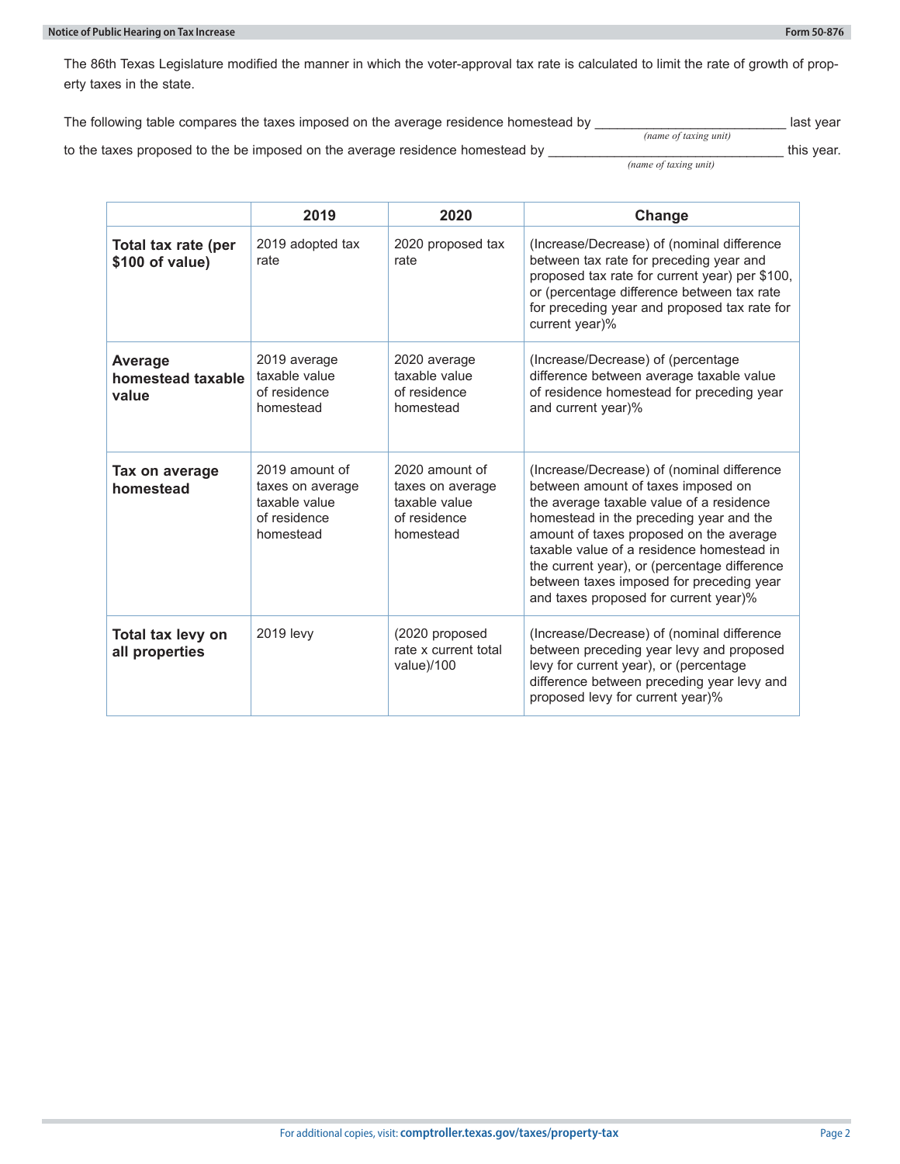The 86th Texas Legislature modified the manner in which the voter-approval tax rate is calculated to limit the rate of growth of property taxes in the state.

| The following table compares the taxes imposed on the average residence homestead by | Lee County                          | last vear  |
|--------------------------------------------------------------------------------------|-------------------------------------|------------|
| to the taxes proposed to the be imposed on the average residence homestead by        | (name of taxing unit)<br>Lee County | this vear. |
|                                                                                      | (name of taxing unit)               |            |

|                                        | 2019                                                                             | 2020                                                                             | Change                                                                                                                                                                                                                                                                                                                                                                                               |
|----------------------------------------|----------------------------------------------------------------------------------|----------------------------------------------------------------------------------|------------------------------------------------------------------------------------------------------------------------------------------------------------------------------------------------------------------------------------------------------------------------------------------------------------------------------------------------------------------------------------------------------|
| Total tax rate (per<br>\$100 of value) | 2019 adopted tax<br>rate                                                         | 2020 proposed tax<br>rate                                                        | (Increase/Decrease) of (nominal difference<br>between tax rate for preceding year and<br>proposed tax rate for current year) per \$100,<br>or (percentage difference between tax rate<br>for preceding year and proposed tax rate for<br>current year)%                                                                                                                                              |
| Average<br>homestead taxable<br>value  | 2019 average<br>taxable value<br>of residence<br>homestead                       | 2020 average<br>taxable value<br>of residence<br>homestead                       | (Increase/Decrease) of (percentage<br>difference between average taxable value<br>of residence homestead for preceding year<br>and current year)%                                                                                                                                                                                                                                                    |
| Tax on average<br>homestead            | 2019 amount of<br>taxes on average<br>taxable value<br>of residence<br>homestead | 2020 amount of<br>taxes on average<br>taxable value<br>of residence<br>homestead | (Increase/Decrease) of (nominal difference<br>between amount of taxes imposed on<br>the average taxable value of a residence<br>homestead in the preceding year and the<br>amount of taxes proposed on the average<br>taxable value of a residence homestead in<br>the current year), or (percentage difference<br>between taxes imposed for preceding year<br>and taxes proposed for current year)% |
| Total tax levy on<br>all properties    | 2019 levy                                                                        | (2020 proposed<br>rate x current total<br>value)/100                             | (Increase/Decrease) of (nominal difference<br>between preceding year levy and proposed<br>levy for current year), or (percentage<br>difference between preceding year levy and<br>proposed levy for current year)%                                                                                                                                                                                   |